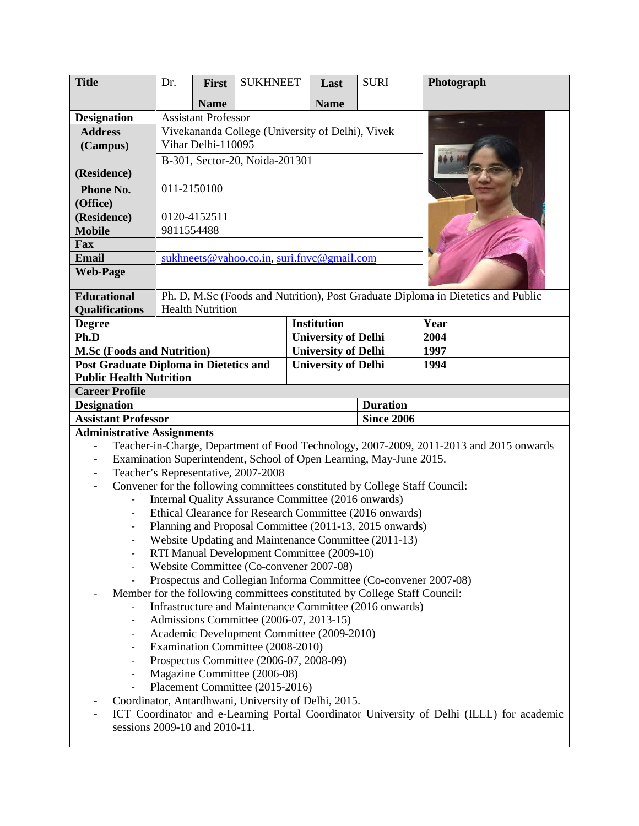| <b>Title</b>                                                                    | Dr.                                              | First                      | <b>SUKHNEET</b>                                                             | Last                       | <b>SURI</b>       | Photograph                                                                                |
|---------------------------------------------------------------------------------|--------------------------------------------------|----------------------------|-----------------------------------------------------------------------------|----------------------------|-------------------|-------------------------------------------------------------------------------------------|
|                                                                                 |                                                  | <b>Name</b>                |                                                                             | <b>Name</b>                |                   |                                                                                           |
| <b>Designation</b>                                                              |                                                  | <b>Assistant Professor</b> |                                                                             |                            |                   |                                                                                           |
| <b>Address</b>                                                                  | Vivekananda College (University of Delhi), Vivek |                            |                                                                             |                            |                   |                                                                                           |
| (Campus)                                                                        | Vihar Delhi-110095                               |                            |                                                                             |                            |                   |                                                                                           |
|                                                                                 | B-301, Sector-20, Noida-201301                   |                            |                                                                             |                            |                   |                                                                                           |
| (Residence)                                                                     |                                                  |                            |                                                                             |                            |                   |                                                                                           |
| Phone No.                                                                       | 011-2150100                                      |                            |                                                                             |                            |                   |                                                                                           |
| (Office)                                                                        |                                                  |                            |                                                                             |                            |                   |                                                                                           |
| (Residence)                                                                     | 0120-4152511                                     |                            |                                                                             |                            |                   |                                                                                           |
| <b>Mobile</b>                                                                   | 9811554488                                       |                            |                                                                             |                            |                   |                                                                                           |
| Fax                                                                             |                                                  |                            |                                                                             |                            |                   |                                                                                           |
| Email                                                                           |                                                  |                            | sukhneets@yahoo.co.in, suri.fnvc@gmail.com                                  |                            |                   |                                                                                           |
| <b>Web-Page</b>                                                                 |                                                  |                            |                                                                             |                            |                   |                                                                                           |
| <b>Educational</b>                                                              |                                                  |                            |                                                                             |                            |                   | Ph. D, M.Sc (Foods and Nutrition), Post Graduate Diploma in Dietetics and Public          |
| <b>Qualifications</b>                                                           |                                                  | <b>Health Nutrition</b>    |                                                                             |                            |                   |                                                                                           |
| <b>Degree</b>                                                                   |                                                  |                            |                                                                             | <b>Institution</b>         |                   | Year                                                                                      |
| Ph.D                                                                            |                                                  |                            | <b>University of Delhi</b>                                                  |                            | 2004              |                                                                                           |
| <b>M.Sc (Foods and Nutrition)</b>                                               |                                                  |                            |                                                                             | <b>University of Delhi</b> |                   | 1997                                                                                      |
| <b>Post Graduate Diploma in Dietetics and</b><br><b>Public Health Nutrition</b> |                                                  |                            |                                                                             | <b>University of Delhi</b> |                   | 1994                                                                                      |
| <b>Career Profile</b>                                                           |                                                  |                            |                                                                             |                            |                   |                                                                                           |
| <b>Designation</b>                                                              |                                                  |                            |                                                                             | <b>Duration</b>            |                   |                                                                                           |
|                                                                                 |                                                  |                            |                                                                             |                            |                   |                                                                                           |
| <b>Assistant Professor</b>                                                      |                                                  |                            |                                                                             |                            | <b>Since 2006</b> |                                                                                           |
| <b>Administrative Assignments</b>                                               |                                                  |                            |                                                                             |                            |                   |                                                                                           |
| $\frac{1}{2}$                                                                   |                                                  |                            |                                                                             |                            |                   | Teacher-in-Charge, Department of Food Technology, 2007-2009, 2011-2013 and 2015 onwards   |
| $\overline{\phantom{a}}$                                                        |                                                  |                            | Examination Superintendent, School of Open Learning, May-June 2015.         |                            |                   |                                                                                           |
| $\overline{\phantom{a}}$                                                        |                                                  |                            | Teacher's Representative, 2007-2008                                         |                            |                   |                                                                                           |
| $\overline{\phantom{0}}$                                                        |                                                  |                            | Convener for the following committees constituted by College Staff Council: |                            |                   |                                                                                           |
| $\overline{\phantom{0}}$                                                        |                                                  |                            | Internal Quality Assurance Committee (2016 onwards)                         |                            |                   |                                                                                           |
| $\overline{\phantom{a}}$                                                        |                                                  |                            | Ethical Clearance for Research Committee (2016 onwards)                     |                            |                   |                                                                                           |
|                                                                                 |                                                  |                            | Planning and Proposal Committee (2011-13, 2015 onwards)                     |                            |                   |                                                                                           |
|                                                                                 |                                                  |                            | Website Updating and Maintenance Committee (2011-13)                        |                            |                   |                                                                                           |
| $\overline{\phantom{a}}$                                                        |                                                  |                            | RTI Manual Development Committee (2009-10)                                  |                            |                   |                                                                                           |
| $\overline{\phantom{0}}$                                                        |                                                  |                            | Website Committee (Co-convener 2007-08)                                     |                            |                   |                                                                                           |
|                                                                                 |                                                  |                            |                                                                             |                            |                   | Prospectus and Collegian Informa Committee (Co-convener 2007-08)                          |
|                                                                                 |                                                  |                            | Member for the following committees constituted by College Staff Council:   |                            |                   |                                                                                           |
|                                                                                 |                                                  |                            | Infrastructure and Maintenance Committee (2016 onwards)                     |                            |                   |                                                                                           |
| $\overline{\phantom{a}}$                                                        |                                                  |                            | Admissions Committee (2006-07, 2013-15)                                     |                            |                   |                                                                                           |
| $\overline{\phantom{a}}$                                                        |                                                  |                            | Academic Development Committee (2009-2010)                                  |                            |                   |                                                                                           |
| $\overline{\phantom{a}}$                                                        |                                                  |                            | Examination Committee (2008-2010)                                           |                            |                   |                                                                                           |
| $\overline{\phantom{a}}$                                                        |                                                  |                            | Prospectus Committee (2006-07, 2008-09)<br>Magazine Committee (2006-08)     |                            |                   |                                                                                           |
|                                                                                 |                                                  |                            | Placement Committee (2015-2016)                                             |                            |                   |                                                                                           |
|                                                                                 |                                                  |                            | Coordinator, Antardhwani, University of Delhi, 2015.                        |                            |                   |                                                                                           |
|                                                                                 |                                                  |                            |                                                                             |                            |                   | ICT Coordinator and e-Learning Portal Coordinator University of Delhi (ILLL) for academic |
| sessions 2009-10 and 2010-11.                                                   |                                                  |                            |                                                                             |                            |                   |                                                                                           |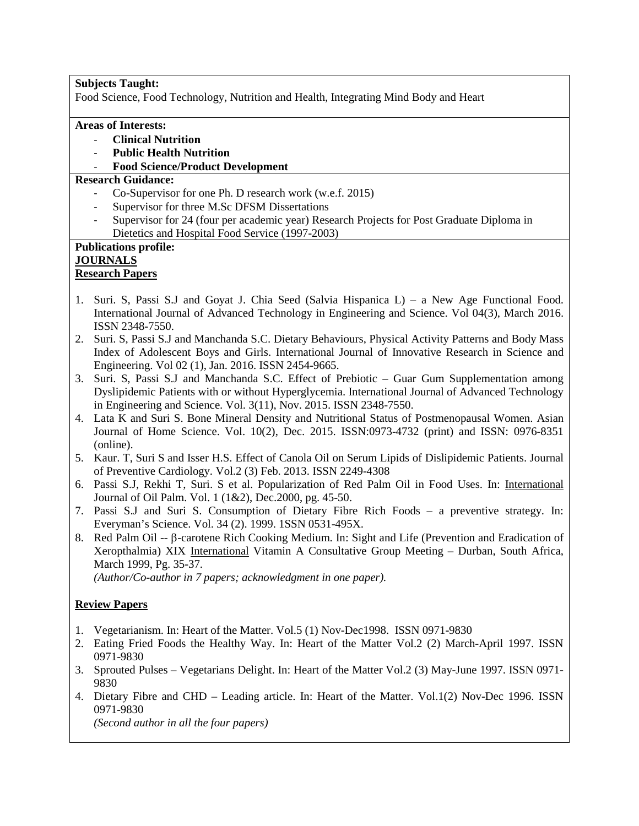### **Subjects Taught:**

Food Science, Food Technology, Nutrition and Health, Integrating Mind Body and Heart

#### **Areas of Interests:**

- **Clinical Nutrition**
- **Public Health Nutrition**
- **Food Science/Product Development**

### **Research Guidance:**

- Co-Supervisor for one Ph. D research work (w.e.f. 2015)
- Supervisor for three M.Sc DFSM Dissertations
- Supervisor for 24 (four per academic year) Research Projects for Post Graduate Diploma in Dietetics and Hospital Food Service (1997-2003)

# **Publications profile: JOURNALS**

### **Research Papers**

- 1. Suri. S, Passi S.J and Goyat J. Chia Seed (Salvia Hispanica L) a New Age Functional Food. International Journal of Advanced Technology in Engineering and Science. Vol 04(3), March 2016. ISSN 2348-7550.
- 2. Suri. S, Passi S.J and Manchanda S.C. Dietary Behaviours, Physical Activity Patterns and Body Mass Index of Adolescent Boys and Girls. International Journal of Innovative Research in Science and Engineering. Vol 02 (1), Jan. 2016. ISSN 2454-9665.
- 3. Suri. S, Passi S.J and Manchanda S.C. Effect of Prebiotic Guar Gum Supplementation among Dyslipidemic Patients with or without Hyperglycemia. International Journal of Advanced Technology in Engineering and Science. Vol. 3(11), Nov. 2015. ISSN 2348-7550.
- 4. Lata K and Suri S. Bone Mineral Density and Nutritional Status of Postmenopausal Women. Asian Journal of Home Science. Vol. 10(2), Dec. 2015. ISSN:0973-4732 (print) and ISSN: 0976-8351 (online).
- 5. Kaur. T, Suri S and Isser H.S. Effect of Canola Oil on Serum Lipids of Dislipidemic Patients. Journal of Preventive Cardiology. Vol.2 (3) Feb. 2013. ISSN 2249-4308
- 6. Passi S.J, Rekhi T, Suri. S et al. Popularization of Red Palm Oil in Food Uses. In: International Journal of Oil Palm. Vol. 1 (1&2), Dec.2000, pg. 45-50.
- 7. Passi S.J and Suri S. Consumption of Dietary Fibre Rich Foods a preventive strategy. In: Everyman's Science. Vol. 34 (2). 1999. 1SSN 0531-495X.
- 8. Red Palm Oil -- β-carotene Rich Cooking Medium. In: Sight and Life (Prevention and Eradication of Xeropthalmia) XIX International Vitamin A Consultative Group Meeting – Durban, South Africa, March 1999, Pg. 35-37.

*(Author/Co-author in 7 papers; acknowledgment in one paper).*

### **Review Papers**

- 1. Vegetarianism. In: Heart of the Matter. Vol.5 (1) Nov-Dec1998. ISSN 0971-9830
- 2. Eating Fried Foods the Healthy Way. In: Heart of the Matter Vol.2 (2) March-April 1997. ISSN 0971-9830
- 3. Sprouted Pulses Vegetarians Delight. In: Heart of the Matter Vol.2 (3) May-June 1997. ISSN 0971- 9830
- 4. Dietary Fibre and CHD Leading article. In: Heart of the Matter. Vol.1(2) Nov-Dec 1996. ISSN 0971-9830

*(Second author in all the four papers)*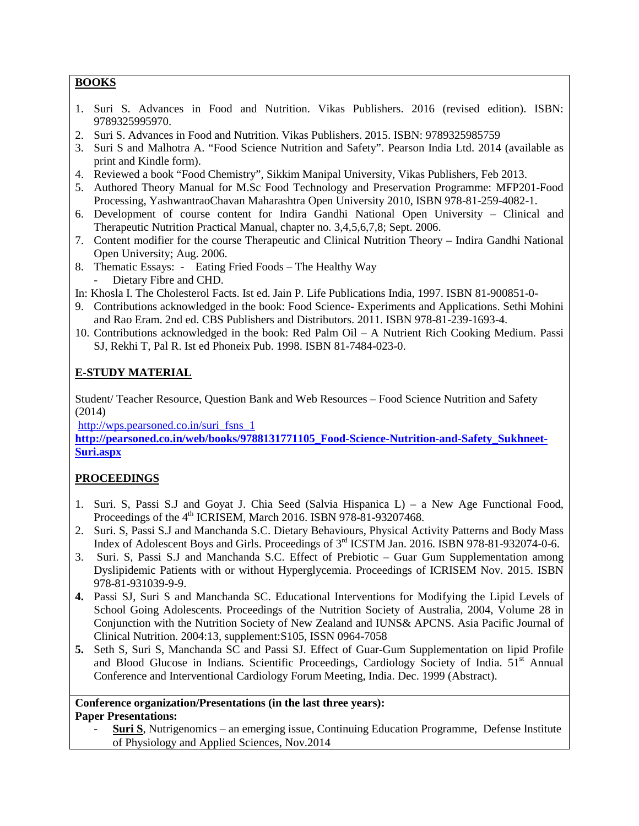### **BOOKS**

- 1. Suri S. Advances in Food and Nutrition. Vikas Publishers. 2016 (revised edition). ISBN: 9789325995970.
- 2. Suri S. Advances in Food and Nutrition. Vikas Publishers. 2015. ISBN: 9789325985759
- 3. Suri S and Malhotra A. "Food Science Nutrition and Safety". Pearson India Ltd. 2014 (available as print and Kindle form).
- 4. Reviewed a book "Food Chemistry", Sikkim Manipal University, Vikas Publishers, Feb 2013.
- 5. Authored Theory Manual for M.Sc Food Technology and Preservation Programme: MFP201-Food Processing, YashwantraoChavan Maharashtra Open University 2010, ISBN 978-81-259-4082-1.
- 6. Development of course content for Indira Gandhi National Open University Clinical and Therapeutic Nutrition Practical Manual, chapter no. 3,4,5,6,7,8; Sept. 2006.
- 7. Content modifier for the course Therapeutic and Clinical Nutrition Theory Indira Gandhi National Open University; Aug. 2006.
- 8. Thematic Essays: Eating Fried Foods The Healthy Way Dietary Fibre and CHD.
- In: Khosla I. The Cholesterol Facts. Ist ed. Jain P. Life Publications India, 1997. ISBN 81-900851-0-
- 9. Contributions acknowledged in the book: Food Science- Experiments and Applications. Sethi Mohini and Rao Eram. 2nd ed. CBS Publishers and Distributors. 2011. ISBN 978-81-239-1693-4.
- 10. Contributions acknowledged in the book: Red Palm Oil A Nutrient Rich Cooking Medium. Passi SJ, Rekhi T, Pal R. Ist ed Phoneix Pub. 1998. ISBN 81-7484-023-0.

## **E-STUDY MATERIAL**

Student/ Teacher Resource, Question Bank and Web Resources – Food Science Nutrition and Safety (2014)

[http://wps.pearsoned.co.in/suri\\_fsns\\_1](http://wps.pearsoned.co.in/suri_fsns_1)

**[http://pearsoned.co.in/web/books/9788131771105\\_Food-Science-Nutrition-and-Safety\\_Sukhneet-](http://pearsoned.co.in/web/books/9788131771105_Food-Science-Nutrition-and-Safety_Sukhneet-Suri.aspx)[Suri.aspx](http://pearsoned.co.in/web/books/9788131771105_Food-Science-Nutrition-and-Safety_Sukhneet-Suri.aspx)**

### **PROCEEDINGS**

- 1. Suri. S, Passi S.J and Goyat J. Chia Seed (Salvia Hispanica L) a New Age Functional Food, Proceedings of the 4<sup>th</sup> ICRISEM, March 2016. ISBN 978-81-93207468.
- 2. Suri. S, Passi S.J and Manchanda S.C. Dietary Behaviours, Physical Activity Patterns and Body Mass Index of Adolescent Boys and Girls. Proceedings of 3<sup>rd</sup> ICSTM Jan. 2016. ISBN 978-81-932074-0-6.
- 3. Suri. S, Passi S.J and Manchanda S.C. Effect of Prebiotic Guar Gum Supplementation among Dyslipidemic Patients with or without Hyperglycemia. Proceedings of ICRISEM Nov. 2015. ISBN 978-81-931039-9-9.
- **4.** Passi SJ, Suri S and Manchanda SC. Educational Interventions for Modifying the Lipid Levels of School Going Adolescents. Proceedings of the Nutrition Society of Australia, 2004, Volume 28 in Conjunction with the Nutrition Society of New Zealand and IUNS& APCNS. Asia Pacific Journal of Clinical Nutrition. 2004:13, supplement:S105, ISSN 0964-7058
- **5.** Seth S, Suri S, Manchanda SC and Passi SJ. Effect of Guar-Gum Supplementation on lipid Profile and Blood Glucose in Indians. Scientific Proceedings, Cardiology Society of India. 51<sup>st</sup> Annual Conference and Interventional Cardiology Forum Meeting, India. Dec. 1999 (Abstract).

#### **Conference organization/Presentations (in the last three years): Paper Presentations:**

**Suri S**, Nutrigenomics – an emerging issue, Continuing Education Programme, Defense Institute of Physiology and Applied Sciences, Nov.2014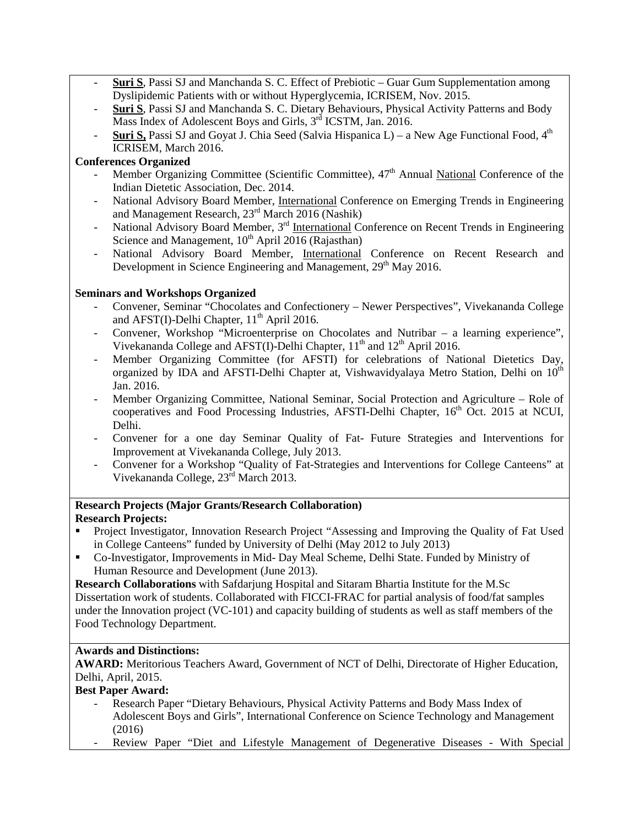- **Suri S**, Passi SJ and Manchanda S. C. Effect of Prebiotic Guar Gum Supplementation among Dyslipidemic Patients with or without Hyperglycemia, ICRISEM, Nov. 2015.
- **Suri S**, Passi SJ and Manchanda S. C. Dietary Behaviours, Physical Activity Patterns and Body Mass Index of Adolescent Boys and Girls, 3<sup>rd</sup> ICSTM, Jan. 2016.
- **Suri S,** Passi SJ and Goyat J. Chia Seed (Salvia Hispanica L) a New Age Functional Food,  $4<sup>th</sup>$ ICRISEM, March 2016.

### **Conferences Organized**

- Member Organizing Committee (Scientific Committee),  $47<sup>th</sup>$  Annual National Conference of the Indian Dietetic Association, Dec. 2014.
- National Advisory Board Member, *International* Conference on Emerging Trends in Engineering and Management Research, 23rd March 2016 (Nashik)
- National Advisory Board Member, 3<sup>rd</sup> International Conference on Recent Trends in Engineering Science and Management,  $10^{th}$  April 2016 (Rajasthan)
- National Advisory Board Member, International Conference on Recent Research and Development in Science Engineering and Management, 29<sup>th</sup> May 2016.

### **Seminars and Workshops Organized**

- Convener, Seminar "Chocolates and Confectionery Newer Perspectives", Vivekananda College and AFST(I)-Delhi Chapter,  $11<sup>th</sup>$  April 2016.
- Convener, Workshop "Microenterprise on Chocolates and Nutribar a learning experience", Vivekananda College and AFST(I)-Delhi Chapter, 11<sup>th</sup> and 12<sup>th</sup> April 2016.
- Member Organizing Committee (for AFSTI) for celebrations of National Dietetics Day, organized by IDA and AFSTI-Delhi Chapter at, Vishwavidyalaya Metro Station, Delhi on 10<sup>th</sup> Jan. 2016.
- Member Organizing Committee, National Seminar, Social Protection and Agriculture Role of cooperatives and Food Processing Industries, AFSTI-Delhi Chapter, 16<sup>th</sup> Oct. 2015 at NCUI, Delhi.
- Convener for a one day Seminar Quality of Fat- Future Strategies and Interventions for Improvement at Vivekananda College, July 2013.
- Convener for a Workshop "Quality of Fat-Strategies and Interventions for College Canteens" at Vivekananda College,  $23<sup>rd</sup>$  March 2013.

### **Research Projects (Major Grants/Research Collaboration)**

### **Research Projects:**

- Project Investigator, Innovation Research Project "Assessing and Improving the Quality of Fat Used in College Canteens" funded by University of Delhi (May 2012 to July 2013)
- Co-Investigator, Improvements in Mid- Day Meal Scheme, Delhi State. Funded by Ministry of Human Resource and Development (June 2013).

**Research Collaborations** with Safdarjung Hospital and Sitaram Bhartia Institute for the M.Sc Dissertation work of students. Collaborated with FICCI-FRAC for partial analysis of food/fat samples under the Innovation project (VC-101) and capacity building of students as well as staff members of the Food Technology Department.

### **Awards and Distinctions:**

**AWARD:** Meritorious Teachers Award, Government of NCT of Delhi, Directorate of Higher Education, Delhi, April, 2015.

### **Best Paper Award:**

- Research Paper "Dietary Behaviours, Physical Activity Patterns and Body Mass Index of Adolescent Boys and Girls", International Conference on Science Technology and Management (2016)
- Review Paper "Diet and Lifestyle Management of Degenerative Diseases With Special